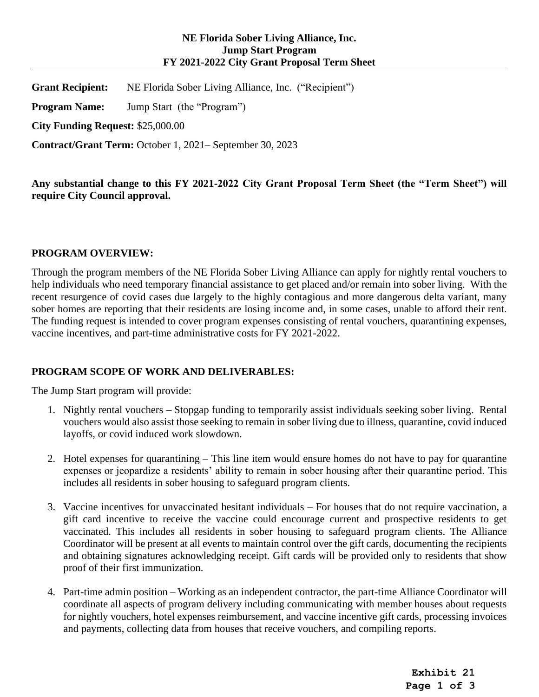## **NE Florida Sober Living Alliance, Inc. Jump Start Program FY 2021-2022 City Grant Proposal Term Sheet**

**Grant Recipient:** NE Florida Sober Living Alliance, Inc. ("Recipient")

**Program Name:** Jump Start (the "Program")

**City Funding Request:** \$25,000.00

**Contract/Grant Term:** October 1, 2021– September 30, 2023

**Any substantial change to this FY 2021-2022 City Grant Proposal Term Sheet (the "Term Sheet") will require City Council approval.** 

### **PROGRAM OVERVIEW:**

Through the program members of the NE Florida Sober Living Alliance can apply for nightly rental vouchers to help individuals who need temporary financial assistance to get placed and/or remain into sober living. With the recent resurgence of covid cases due largely to the highly contagious and more dangerous delta variant, many sober homes are reporting that their residents are losing income and, in some cases, unable to afford their rent. The funding request is intended to cover program expenses consisting of rental vouchers, quarantining expenses, vaccine incentives, and part-time administrative costs for FY 2021-2022.

### **PROGRAM SCOPE OF WORK AND DELIVERABLES:**

The Jump Start program will provide:

- 1. Nightly rental vouchers Stopgap funding to temporarily assist individuals seeking sober living. Rental vouchers would also assist those seeking to remain in sober living due to illness, quarantine, covid induced layoffs, or covid induced work slowdown.
- 2. Hotel expenses for quarantining This line item would ensure homes do not have to pay for quarantine expenses or jeopardize a residents' ability to remain in sober housing after their quarantine period. This includes all residents in sober housing to safeguard program clients.
- 3. Vaccine incentives for unvaccinated hesitant individuals For houses that do not require vaccination, a gift card incentive to receive the vaccine could encourage current and prospective residents to get vaccinated. This includes all residents in sober housing to safeguard program clients. The Alliance Coordinator will be present at all events to maintain control over the gift cards, documenting the recipients and obtaining signatures acknowledging receipt. Gift cards will be provided only to residents that show proof of their first immunization.
- 4. Part-time admin position Working as an independent contractor, the part-time Alliance Coordinator will coordinate all aspects of program delivery including communicating with member houses about requests for nightly vouchers, hotel expenses reimbursement, and vaccine incentive gift cards, processing invoices and payments, collecting data from houses that receive vouchers, and compiling reports.

**Exhibit 21 Page 1 of 3**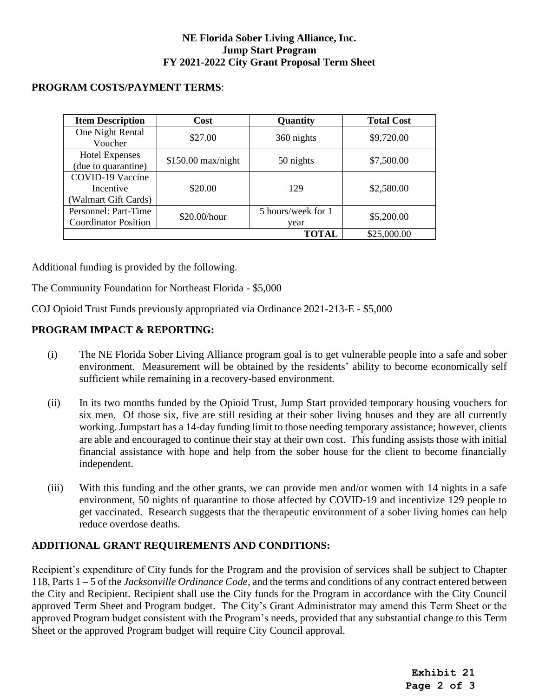## **PROGRAM COSTS/PAYMENT TERMS**:

| <b>Item Description</b>     | Cost                | Quantity           | <b>Total Cost</b> |  |  |
|-----------------------------|---------------------|--------------------|-------------------|--|--|
| One Night Rental            | \$27.00             | 360 nights         | \$9,720.00        |  |  |
| Voucher                     |                     |                    |                   |  |  |
| <b>Hotel Expenses</b>       |                     |                    | \$7,500.00        |  |  |
| (due to quarantine)         | $$150.00$ max/night | 50 nights          |                   |  |  |
| COVID-19 Vaccine            |                     |                    |                   |  |  |
| Incentive                   | \$20.00             | 129                | \$2,580.00        |  |  |
| (Walmart Gift Cards)        |                     |                    |                   |  |  |
| Personnel: Part-Time        | \$20.00/hour        | 5 hours/week for 1 | \$5,200.00        |  |  |
| <b>Coordinator Position</b> |                     | year               |                   |  |  |
|                             |                     | <b>TOTAL</b>       | \$25,000.00       |  |  |

Additional funding is provided by the following.

The Community Foundation for Northeast Florida - \$5,000

COJ Opioid Trust Funds previously appropriated via Ordinance 2021-213-E - \$5,000

# **PROGRAM IMPACT & REPORTING:**

- (i) The NE Florida Sober Living Alliance program goal is to get vulnerable people into a safe and sober environment. Measurement will be obtained by the residents' ability to become economically self sufficient while remaining in a recovery-based environment.
- (ii) In its two months funded by the Opioid Trust, Jump Start provided temporary housing vouchers for six men. Of those six, five are still residing at their sober living houses and they are all currently working. Jumpstart has a 14-day funding limit to those needing temporary assistance; however, clients are able and encouraged to continue their stay at their own cost. This funding assists those with initial financial assistance with hope and help from the sober house for the client to become financially independent.
- (iii) With this funding and the other grants, we can provide men and/or women with 14 nights in a safe environment, 50 nights of quarantine to those affected by COVID-19 and incentivize 129 people to get vaccinated. Research suggests that the therapeutic environment of a sober living homes can help reduce overdose deaths.

# **ADDITIONAL GRANT REQUIREMENTS AND CONDITIONS:**

Recipient's expenditure of City funds for the Program and the provision of services shall be subject to Chapter 118, Parts 1 – 5 of the *Jacksonville Ordinance Code*, and the terms and conditions of any contract entered between the City and Recipient. Recipient shall use the City funds for the Program in accordance with the City Council approved Term Sheet and Program budget. The City's Grant Administrator may amend this Term Sheet or the approved Program budget consistent with the Program's needs, provided that any substantial change to this Term Sheet or the approved Program budget will require City Council approval.